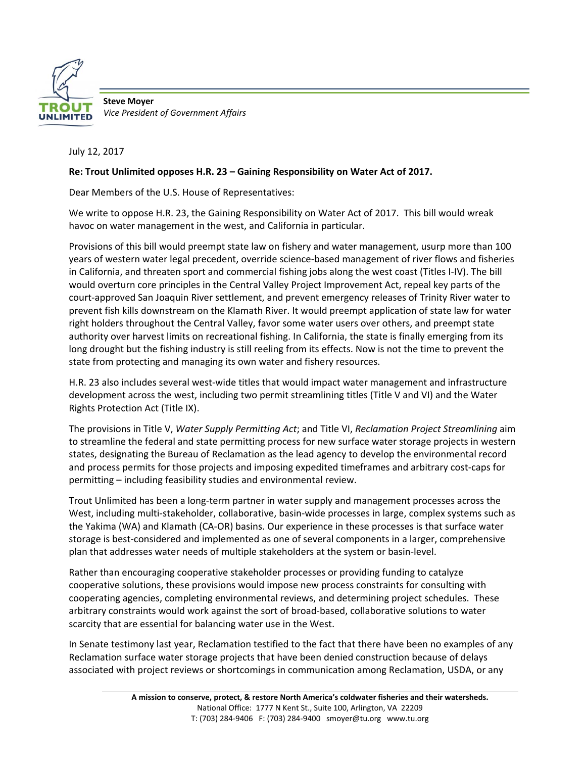

**Steve Moyer** *Vice President of Government Affairs*

July 12, 2017

## **Re: Trout Unlimited opposes H.R. 23 – Gaining Responsibility on Water Act of 2017.**

Dear Members of the U.S. House of Representatives:

We write to oppose H.R. 23, the Gaining Responsibility on Water Act of 2017. This bill would wreak havoc on water management in the west, and California in particular.

Provisions of this bill would preempt state law on fishery and water management, usurp more than 100 years of western water legal precedent, override science‐based management of river flows and fisheries in California, and threaten sport and commercial fishing jobs along the west coast (Titles I‐IV). The bill would overturn core principles in the Central Valley Project Improvement Act, repeal key parts of the court‐approved San Joaquin River settlement, and prevent emergency releases of Trinity River water to prevent fish kills downstream on the Klamath River. It would preempt application of state law for water right holders throughout the Central Valley, favor some water users over others, and preempt state authority over harvest limits on recreational fishing. In California, the state is finally emerging from its long drought but the fishing industry is still reeling from its effects. Now is not the time to prevent the state from protecting and managing its own water and fishery resources.

H.R. 23 also includes several west‐wide titles that would impact water management and infrastructure development across the west, including two permit streamlining titles (Title V and VI) and the Water Rights Protection Act (Title IX).

The provisions in Title V, *Water Supply Permitting Act*; and Title VI, *Reclamation Project Streamlining* aim to streamline the federal and state permitting process for new surface water storage projects in western states, designating the Bureau of Reclamation as the lead agency to develop the environmental record and process permits for those projects and imposing expedited timeframes and arbitrary cost‐caps for permitting – including feasibility studies and environmental review.

Trout Unlimited has been a long‐term partner in water supply and management processes across the West, including multi‐stakeholder, collaborative, basin‐wide processes in large, complex systems such as the Yakima (WA) and Klamath (CA‐OR) basins. Our experience in these processes is that surface water storage is best-considered and implemented as one of several components in a larger, comprehensive plan that addresses water needs of multiple stakeholders at the system or basin‐level.

Rather than encouraging cooperative stakeholder processes or providing funding to catalyze cooperative solutions, these provisions would impose new process constraints for consulting with cooperating agencies, completing environmental reviews, and determining project schedules. These arbitrary constraints would work against the sort of broad‐based, collaborative solutions to water scarcity that are essential for balancing water use in the West.

In Senate testimony last year, Reclamation testified to the fact that there have been no examples of any Reclamation surface water storage projects that have been denied construction because of delays associated with project reviews or shortcomings in communication among Reclamation, USDA, or any